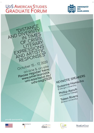## **UDS AMERICAN STUDIES GRADUATE FORUM**





**KEYNOTE SPEAKERS** Susanne Hamscha (Fulbright | Diversity) Phillip Ayoub<br>Cocidental College) **Takeo Rivera** (Boston University)











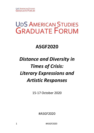# **UDS AMERICAN STUDIES GRADUATE FORUM**

## **ASGF2020**

# *Distance and Diversity in Times of Crisis: Literary Expressions and Artistic Responses*

15-17 October 2020

#ASGF2020

1 #ASGF2020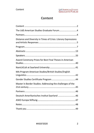## **Content**

<span id="page-3-0"></span>

| The UdS American Studies Graduate Forum4                        |  |
|-----------------------------------------------------------------|--|
|                                                                 |  |
| Distance and Diversity in Times of Crisis: Literary Expressions |  |
|                                                                 |  |
|                                                                 |  |
|                                                                 |  |
| Award Ceremony Prizes for Best Final Theses in American         |  |
|                                                                 |  |
| MA-Program American Studies/British Studies/English             |  |
|                                                                 |  |
| Master in Border Studies: Addressing the challenges of the      |  |
|                                                                 |  |
| Deutsch-Amerikanisches Institut Saarland 46                     |  |
|                                                                 |  |
|                                                                 |  |
|                                                                 |  |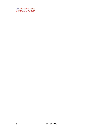## UDS AMERICAN STUDIES<br>GRADUATE FORUM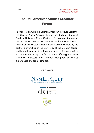## <span id="page-5-0"></span>**The UdS American Studies Graduate Forum**

In cooperation with the German-American Institute Saarland, the Chair of North American Literary and Cultural Studies at Saarland University (NamLitCult at UdS) organizes the annual AMERICAN STUDIES GRADUATE FORUM that invites doctoral and advanced Master students from Saarland University, the partner universities of the University of the Greater Region, and beyond to present their current projects-in-progress in a workshop-style setting. The forum aims at offering participants a chance to discuss their research with peers as well as experienced and senior scholars.

**Partners**

<span id="page-5-1"></span>



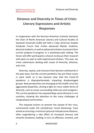## <span id="page-6-0"></span>**Distance and Diversity in Times of Crisis: Literary Expressions and Artistic Responses**

In cooperation with the German-American Institute Saarland, the Chair of North American Literary and Cultural Studies at Saarland University (UdS) will hold a 3-day American Studies Graduate Forum that invites advanced Master students, doctoral students, as well as advanced scholars to present their current projects-in-progress in a workshop-style setting. The forum will offer participants a chance to discuss their research with peers as well as with experienced scholars. This year, we invite submissions dealing with issues of diversity, distance, and crisis.

Diversity, equity, and inclusion have become catchwords in the past years, but the current pandemic has put these issues in stark relief, as it has become clear that the Covid-19 pandemic is disproportionately impacting disadvantaged groups. New perspectives are emerging as this health crisis has aggravated disparities, shining a light on more subtle forms of diversity, such as issues surrounding child-care and caregivers. The current pandemic has exposed deep social divisions in our societies, drawing the attention to the many challenges of marginalized communities.

The imposed actions to prevent the spread of the virus, summarized under the catchphrase 'social distancing,' have aimed at ensuring a minimum physical interpersonal distance, often engendering a side effect of increased onerous and stressful situations, leading, in turn, to affective, emotive, and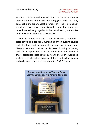emotional distance and re-orientations. At the same time, as people all over the world are struggling with the very perceptible and experienceable force of this 'social distancing,' global distances have been dismantled and the world has moved more closely together in the virtual world, as the offer of online events increased considerably.

The UdS American Studies Graduate Forum 2020 offers a setting in which a decidedly humanities-driven, cultural studies and literature studies approach to issues of distance and diversity in times of crisis will be discussed. Focusing on literary and artistic expressions of and reactions to various forms of crises, ecological crises as well as health crises, this workshop seeks to highlight cultural representations that call for gender and racial equity, and a commitment to LGBTIQ issues.

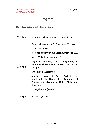01:00 pm

### **Program**

#### <span id="page-8-0"></span>*Thursday, October 15 – Live on Zoom*

12:30 pm *Conference Opening and Welcome Address*

*Panel I: Discourses of Distance and Diversity*

*Chair: Daniel Riesco*

**Distance and Diversity: Corona Art in the U.S.**

Astrid M. Fellner (Saarland U)

**Linguistic Othering and Scapegoating in Pandemic Times: Blame Games in the U.S. and Europe**

Eva Nossem (Saarland U)

**Another Layer of Pain; Exclusion of Immigrants in Times of a Pandemic; A Comparison between the United States and Germany.**

Somayeh Amin (Saarland U)

02:30 pm *Virtual Coffee Break*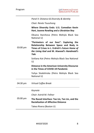|          | Panel II: Distance & Diversity & Identity                                                                                                                                                 |
|----------|-------------------------------------------------------------------------------------------------------------------------------------------------------------------------------------------|
|          | Chair: Renée Touschong                                                                                                                                                                    |
|          | Where Diversity Ends: U.S. Comedian Kevin<br>Hart, Joanne Rowling and a Ukrainian Boy                                                                                                     |
| 03:00 pm | Oksana Starshova (Petro Mohyla Black Sea<br>National U)                                                                                                                                   |
|          | "Perimeters of our lives": Exploring the<br>Relationship Between Space and Body in<br>Times of Crises in L. Erdrich's Future Home of<br>the Living God and M. Atwood's Handmaid's<br>Tale |
|          | Svitlana Kot (Petro Mohyla Black Sea National<br>U)                                                                                                                                       |
|          | <b>Distance in the American University Discourse</b><br>in the Times of COVID-19 Pandemic                                                                                                 |
|          | Yuliya Stodolinska (Petro Mohyla Black Sea<br>National U)                                                                                                                                 |
| 04:30 pm | Virtual Coffee Break                                                                                                                                                                      |
|          | Keynote                                                                                                                                                                                   |
|          | Chair: Astrid M. Fellner                                                                                                                                                                  |
| 05:00 pm | The Raced Interface: Tao Lin, Tan Lin, and the<br><b>Racialization of Affective Distance</b>                                                                                              |

Takeo Rivera (Boston U)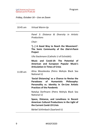#### *Friday, October 16 – Live on Zoom*

10:45 am *Virtual Warm-Up*

*Panel 3: Distance & Diversity in Artistic Productions*

*Chair:* 

**'[…] A Good Way to Reach the Movement': The Sonic Community of the** *Dial-A-Poem*  **Project**

Ulla Stackmann (Catholic U of Eichstätt):

**Music and Covid-19: The Potential of American and European Popular Music's Articulation in Times of Crisis**

 $11:00 \text{ am}$ Alina Mozolevska (Petro Mohyla Black Sea National U)

> **'Social Distancing' as a Chance to Revise the Paradoxes of Humanistic Philosophy: Personality vs. Identity in On-Line Artistic Practices of the Pandemic**

> Natalya Dorfmann (Petro Mohyla Black Sea National U)

> **Space, Distance, and Loneliness in Recent American Cultural Productions in the Light of the Current Covid-19 Crisis**

Bärbel Schlimbach (Saarland U)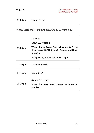01:00 pm *Virtual Break*

*Friday, October 16 – Uni Campus, bldg. C5 3, room 3.26*

|                    | Keynote                                                                                           |  |
|--------------------|---------------------------------------------------------------------------------------------------|--|
|                    | Chair: Eva Nossem                                                                                 |  |
| $03:00 \text{ pm}$ | When States Come Out: Movements & the<br>Diffusion of LGBTI Rights in Europe and North<br>America |  |
|                    | Phillip M. Ayoub (Occidental College)                                                             |  |
| 04:30 pm           | <b>Closing Remarks</b>                                                                            |  |
| 04:45 pm           | Covid Break                                                                                       |  |
| 05:30 pm           | <b>Award Ceremony</b>                                                                             |  |
|                    | Prizes for Best Final Theses in American<br><b>Studies</b>                                        |  |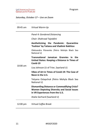#### *Saturday, October 17 – Live on Zoom*

| 09:45 am   | Virtual Warm-Up                                                                                                                              |  |  |
|------------|----------------------------------------------------------------------------------------------------------------------------------------------|--|--|
| $10:00$ am | Panel 4: Gendered Distancing                                                                                                                 |  |  |
|            | Chair: Shahrzad Tajeddini                                                                                                                    |  |  |
|            | Aestheticizing the Pandemic: Quarantine<br>'Fashion' by Tatiana and Vladimir Bakhtov                                                         |  |  |
|            | Oleksandra Filonenko (Petro Mohyla Black Sea<br>National U)                                                                                  |  |  |
|            | Transnational Jamaican Grannies in the<br>United States: Keeping a Distance in Times of<br>Covid-19                                          |  |  |
|            | Lisa Johnson (U of Trier, Saarland U)                                                                                                        |  |  |
|            | Vibes of Art in Times of Covid-19: The Case of<br>Neon in the U.S.                                                                           |  |  |
|            | Tetyana Ostapchuk (Petro Mohyla Black Sea<br>National U)                                                                                     |  |  |
|            | <b>Dismantling Distance or Commodifying Crisis?</b><br><b>Women Depicting Diversity and Social Issues</b><br>in VR Experiences from the U.S. |  |  |
|            | Atalie Gerhard (Saarland U)                                                                                                                  |  |  |

12:00 pm *Virtual Coffee Break*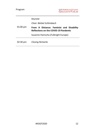#### *Keynote*

*Chair: Bärbel Schlimbach*

#### 01:00 pm **From A Distance: Feminist and Disability Reflections on the COVID-19 Pandemic**

Susanne Hamscha (Fulbright Europe)

02:30 pm *Closing Remarks*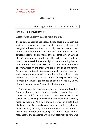### **Abstracts**

Thursday, October 15, 01:00 pm – 01:30 pm

<span id="page-14-0"></span>Astrid M. Fellner (Saarland U)

#### *Distance and Diversity: Corona Art in the U.S.*

The current pandemic has exposed deep social divisions in our societies, drawing attention to the many challenges of marginalized communities. Not only has it created new borders between home and outside, between inside and outside, but it has also reinforced the borders between 'us' and 'them,' between the healthy and the sick, the rich and the poor. It has also reinforced the digital divide, widening the gap between those who have access to the now necessary means of communication and those who are isolated and left behind. As the effects of Covid-19 on social inequality, gender divisions, and core-periphery relations are becoming visible, it has become clear that the current pandemic is disproportionately impacting disadvantaged groups of people, especially BIPOC (Black, Indigenous, and People of Color) women.

Approaching the nexus of gender, diversity, and Covid-19 from a literary and cultural studies perspective, my contribution will focus on a series of creative responses to the current crisis, which give voice to many challenges currently faced by women. As I will show, a series of artists have highlighted the rise of racism and social inequalities during the Covid-19 crisis, focusing on the themes of isolation, domestic abuse, and problematic meanings of home. These cultural responses to the pandemic, which draw attention to gendered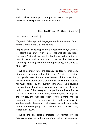and racial exclusions, play an important role in our personal and collective responses to the current crisis.

Thursday, October 15, 01:30 – 02:00 pm

Eva Nossem (Saarland U)

*Linguistic Othering and Scapegoating in Pandemic Times: Blame Games in the U.S. and Europe*

In spite of having developed into a global pandemic, COVID-19 is oftentimes met with local national(ist) reactions. Nationalist/nationally-oriented rebordering politics often go hand in hand with attempts to construct the disease as something foreign-grown and by apportioning the blame to 'the other.'

While, as many state, the coronavirus does not make any difference between nationalities, race/ethnicity, religion, class, gender, sexuality, and, even less so, political convictions, we can, however, observe that marginalized communities are hit much harder by the current pandemic. The discursive construction of the disease as a foreign-grown threat to the nation is one of the strategies to apportion the blame for the (spread of the) virus to the 'other,' the foreigner, the migrant, the refugee, the racialized other. A few months into the pandemic, we have furthermore witnessed an increase in gender-based violence and both physical as well as discursive attacks on SOGIE people (e.g. Moore 2020, OHCHR 2020, Hugendubel 2020).

While the anti-corona protests, as claimed by the organizers, have led to the formation of unlikely alliances e.g.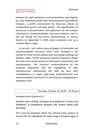#### **UDS AMERICAN STUDIES GRADUATE FORUM**

between far-right extremists, environmentalists, post-hippies, etc. (e.g. Heidtmann 2020), their demonstrations have offered, however, a prolific environment for discursive attacks on marginalized groups and hate speech. The appropriation of discourses of discrimination and oppression by anti-maskers culminated in homotransphobic rants and outbursts, such as the one during the anti-corona demonstration in Vienna, Austria, on September 5, 2020, when protesters tore up a rainbow flag on stage.

In my talk, I will outline some strategies of nationalist and homotransphobic discourse which have emerged in the context of Covid-19 and analyze them according to Reisigl and Wodak's (2001: 93-95) Discourse Historical Approach (DHA); the main focus will be placed on nomination, predication, and argumentation. The historical contextualization of the analyzed statements and the highlighting of their interdiscursive relationships will help lay bare their embeddedness in larger right-wing nationalist/racist and homotransphobic discourses of othering and scapegoating in pandemic times.

#### Thursday, October 15, 02:00 – 02:30 pm

Somayeh Amin (Saarland U)

*Another Layer of Pain; Exclusion of Immigrants in Times of a Pandemic; A Comparison between the United States and Germany.*

The Covid-19 pandemic which has altered many aspects of human life, has highlighted the wide range of disadvantages of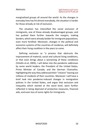marginalized groups all around the world. As the changes in everyday lives has hit almost everybody, the situation is harder for those already at risk of exclusion.

The situation has intensified the social exclusion of immigrants, one of those already disadvantaged groups, and has pushed them further towards the margins, making borders, which were already bolder for immigrant populations, even more fortified. Moreover, changes in the political and economic systems of the countries of residence, will definitely affect their living condition in the years to come.

Defining exclusion as "a process that obstructs the improvement of material, social and cultural living conditions, or that even brings about a worsening of these conditions (Vitiello et.al, 2003), I will delve into the pandemic addresses by some world leaders; the President of the United States, Prime Minister of Canada, and the German Chancellor, highlighting the way they addressed their "citizens" leaving out millions of residents of their countries. Moreover I will have a brief look into pandemic-induced changes in immigration policies in the United States, and argue that exclusion and inequality which started at the word level, were further reflected in being deprived of protective measures, financial aids, and even loss of some rights for immigrants.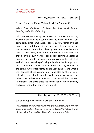#### Thursday, October 15, 03:00 – 03:30 pm

Oksana Starshova (Petro Mohyla Black Sea National U)

*Where Diversity Ends: U.S. Comedian Kevin Hart, Joanne Rowling and a Ukrainian Boy*

What do Joanne Rowling, Kevin Hart and the Ukrainian boy, Maxym Tkachuk, have in common? In the proposed paper I am going to look into some cases of cancel culture. Although these people exist in different dimensions – of a famous writer, an icon for several generations of young people, a comedian actor and a Ukrainian boy, half-orphan, until recently unknown, but they all in their own ways dropped out of common beliefs and became the targets for blame and criticism to the extent of exclusion and cancelling of their public identities. I am going to discuss how much cancel culture admits diversity, what lies at the background, what strategies are used against, and what is the response of the victim. How it operates on the levels of celebrities and simple people. Which patterns instruct the behavior of both sides – those who criticize and the criticized. And finally, I will try to trace the correlation between diversity and cancelling in the modern-day world.

Thursday, October 15, 03:30 – 04:00 pm

Svitlana Kot (Petro Mohyla Black Sea National U)

*"Perimeters of our lives": exploring the relationship between space and body in times of crises in L. Erdrich's* **Future Home of the Living God** *and M. Atwood's* **Handmaid's Tale**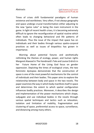Times of crises shift fundamental paradigms of human existence and worldviews. Very often, if not always geography and space undergo crucial transformation either adjusting to the new "game rules" or being the main instrument in the game. In light of recent health crises, it is becoming extremely difficult to ignore the reconfiguration of spatial routine which often leads to changing behavioral and life patterns of individuals. Thus the issue of the impact that space has on individuals and their bodies through various spatio-corporal practices as well as issues of biopolitics has grown in importance.

Warning about potential futures and aesthetically rethinking the themes of ecology, power, and human rights Margaret Atwood in The Handmaid's Tale and Louise Erdrich in her Future Home of the Living God focus on gender oppression. Depicting the times of ecological crises, the two feministic dystopias demonstrate that the construction of space is one of the most powerful mechanisms for the control of individuals and their bodies. This paper aims to explore the relationship between body and space in the two novels. The paper examines the way in which body manifests itself in space and determines the extent to which spatial configuration influences bodily practices. Moreover, it describes the design and implementation of the power mechanisms which shape, subjugate and use individual bodies in the novels through various spatial techniques and tactics such as relocation, isolation and limitation of mobility, fragmentation and clustering of space, preferential access to space, surveillance, and distancing among many others.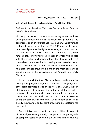#### Thursday, October 15, 04:00 – 04:30 pm

Yuliya Stodolinska (Petro Mohyla Black Sea National U)

*Distance in the American University Discourse in the Times of COVID-19 Pandemic*

All the participants of American University Discourse have been greatly impacted during the coronavirus pandemic. The administration of universities had to come up with alternatives that would work in the time of COVID-19 and, at the same time, would preserve the rights for equality and inclusion of all the University Discourse participants (students, staff, their families, etc.). They attempted to keep everybody up-to-date with the constantly changing information through different channels of communication by creating visual materials, social media posts, etc. Multimodal texts which combine verbal and nonverbal images proved to be one of the most popular and suitable forms for the participants of the American University Discourse.

In this research the term Discourse is used in the meaning of not just language-in-use, but a combination of language with other social practices (based on the works of J.P. Gee). The aim of this study is to examine the notion of distance and its portrayal in multimodal texts published by American Universities on their websites and social media accounts during the coronavirus pandemic. An attempt to analyze and classify the structure and content of such multimodal texts has been made.

Overall, it is assumed that in the course of time the content of the analyzed texts gradually changes as active propaganda of complete isolation at home evolves into rather cautious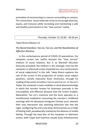promotion of reconnecting in a secure surrounding on campus. The Universities' visual materials strive to encourage diversity, equity, and inclusion while recreating and maintaining a safe and healthy environment in the "new normal" reality.

#### Takeo Rivera (Boston U)

#### *The Raced Interface: Tao Lin, Tan Lin, and the Racialization of Affective Distance*

In this contemporary period of COVID-19 quarantines, the computer screen has swiftly become the "new normal" medium of social relations. But if, as Marshall McLuhan famously provoked, the medium is the message, how has the computer or televisual screen impacted our very constructions of social subjectivity? In this talk, Takeo Rivera explores the role of the screen in the production of certain racial subject positions, namely masculine Asian Americans, through his reading of the works of authors Tao Lin and Tan Lin. In Tao Lin's Taipei, the computer screen mediates a racial phenomenology in which the narrator locates his Asianness precisely in the inscrutability and affective distance that the screen enables. Meanwhile, Tan Lin's Insomnia and the Aunt operates as a metafictional meditation recounting the narrator's childhood evenings with his deceased immigrant Chinese aunt, wherein their only interaction was watching television late into the night, configuring the entry into Asian Americanness as a mode of feeling itself, paradoxically marked by the absence of visible feeling. Through the hazy blur of the computer or television screen, both Taipei and Insomnia situate Asian Americanness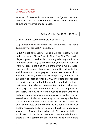as a form of affective distance, wherein the figure of the Asian American starts to become indissociable from inanimate objects and hyperreal media images.

Friday, October 16, 11:00 – 11:30 am

Ulla Stackmann (Catholic University of Eichstätt)

#### *'[…] A Good Way to Reach the Movement': The Sonic Community of the* **Dial-A-Poem** *Project*

In 1969, poet John Giorno set up a 24-hour poetry hotline under the name Dial-A-Poem in New York City. The service played a poem to each caller randomly selecting one from a number of poems, e.g. by Allen Ginsberg, Bernadette Mayer or Frank O'Hara. In the first five months over a million called. However, after a parent complained about kids calling the line and listening to pornographic content (an excerpt from Basketball Diaries), the service was temporarily shut down but eventually re-installed until c. 1972. The poets appropriated the public structure of the telephone to share texts on topics that were otherwise not represented in the mainstream media, e.g. sex between men, female sexuality, drug use and anarchism. Thereby, they found a way to connect with their audience from a distance during a political crisis that saw the assassination of Martin Luther King, an increasingly desolate U.S. economy and the failure of the Vietnam War. Later the poets commented on the project: "At this point, with the war and the repression and everything, we thought this was a good way for the Movement to reach people." In my presentation, I would like to discuss how Dial-A-Poem used the telephone to create a virtual community space whose set-up was a unique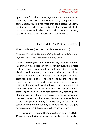opportunity for callers to engage with the counterculture. After all, they were anonymous and, comparable to contemporary streaming formats, they could access the poetry anytime and anywhere, provided a telephone was available. In this way, poets and callers could build a network working against the repressive climate of Cold War America.

#### Friday, October 16, 11:30 am – 12:00 pm

Alina Mozolevska (Petro Mohyla Black Sea National U)

#### *Music and Covid-19: The Potential of American and European Popular Music's Articulation in Times of Crisis*

It is not surprising that popular culture plays an important role in our lives. It's composed of varied everyday cultural practices that are closely connected to self-expression, collective identity and memory, territorial belonging, ethnicity, nationality, gender and authenticity. As a part of these practices, music is central to significant cultural and social transformations in the world communities. In recent years, thanks to Internet and globalized world, the phenomenon of commercially successful and widely received popular music promoting the values of a certain community, political party, ethnic group or cultural\*commercial trends has exploded. However, researchers know very little about how audience receive the popular music, in which way it impacts the collective memory and identity of people and how the pop music responds to different political and social issues.

In this paper we would like to investigate how the COVID-19 pandemic affected musicians and artists and to analyze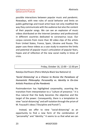#### **UDS AMERICAN STUDIES GRADUATE FORUM**

possible interactions between popular music and pandemic. Nowadays, with new rules of social behavior and limits on public gatherings and travel artist have not only modified the way they communicate with the audience but also the content of their popular songs. We can see an explosion of music videos distributed on the Internet (amateur and professional) in different countries dedicated to coronavirus issue. Our corpus consists from more than 30 video clips of the artists from United States, France, Spain, Ukraine and Russia. This paper uses these videos as a case study to examine the limits and potential of popular music's articulation of popular fears, hopes and of reflection of the new social reality in times of crisis.

#### Friday, October 16, 12:00 – 12:30 pm

Natalya Dorfmann (Petro Mohyla Black Sea National U)

*'Social Distancing' as a Chance to Revise the Paradoxes of Humanistic Philosophy: Personality vs. Identity in On-Line Artistic Practices of the Pandemic*

Postmodernism has highlighted corporeality, asserting the transition from interpretation to a "culture of presence." It is thus natural that the body becomes the objective and the target of the power. Consequently, there is a temptation to view "social-distancing" and self-isolation through the prism of M. Foucault's ideas ("Discipline and Punish").

Instead, we offer to view "social-distancing" as an opportunity to find a new form of the combination of "personality" and "identity." It seems to us that what we can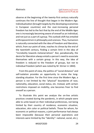#### **Abstracts**

#### **UDS AMERICAN STUDIES GRADUATE FORUM**

observe at the beginning of the twenty-first century naturally continues the line of thought that began in the Modern Age. Individualization (brought largely by the developing economies in European countries) and the ever-increasing personal freedom has led to the fact that by the end of the Middle Ages one is increasingly becoming aware of oneself as an individual, and not just as a part of a group. This outlook shift has entailed anthropocentrism in philosophy and sciences. Thus, humanism is naturally connected with the idea of freedom and liberation, which, from our point of view, reaches its climax by the end of the twentieth century, finding a certain limit in the idea of "incredulity towards metanarratives". But, paradoxically, the desire for liberation always entails a person's need to associate themselves with a certain group. In this way, the idea of freedom is reduced to the freedom of groups, but not to individual freedom (which was noted by M. Stirner in 1844).

From this point of view, the politics of "social distance" and self-isolation provides an opportunity to revise the longstanding situation. For the first time since the Modern Age, a person is not limited by the "physical" boundaries of race, nationality, education, social status, etc. Instead, with certain restrictions imposed on mobility, one becomes freer to find oneself as a person.

To illustrate this point we analyze the on-line artistic practices created during the pandemic, in which people were able to unite based on their individual preferences, not being limited by their country of residence, economic situation, education, skin color or political beliefs. Those for whom, for economic or political reasons, a joint performance had always been impossible (because their personal aspirations and interests were limited by the "identity": national, social, etc.),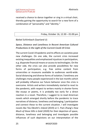received a chance to dance together or sing in a virtual choir, thereby gaining the opportunity to search for a new form of a combination of "personality" and "identity."

Friday, October 16, 12:30 – 01:00 pm

Bärbel Schlimbach (Saarland U)

#### *Space, Distance and Loneliness in Recent American Cultural Productions in the Light of the Current Covid-19 Crisis*

The current Covid-19 epidemic and its effects on societies pose new challenges. On one side, the current crisis increased existing inequalities and emphasized injustices in participation, e.g. disparate financial means or access to technologies. On the other side, the crisis can also provide possibilities for new forms of participation, e.g. free online content from universities or museums available to audiences world-wide. Social distancing and diverse forms of isolation / loneliness are challenges many people experienced in the last months which will probably influence our future behavior once the crisis is overcome. Artists and writers immediately started to react to the pandemic, with respect to writers mainly in shorter forms like essays or poems, it is probably too early for a direct reaction in a novel. Therefore, I suggest to re-read American novels which emerged shortly before the pandemic to trace narratives of distance, loneliness and belonging / participation and connect these to the current situation. I will investigate novels like Téa Obreht's *Inland* (2019) or C. Pam Zhang's *How Much of these Hills is Gold* (2020) for their depiction of space, distance, loneliness and belonging and investigate possible influences of such depictions on our interpretation of the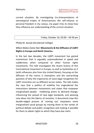current situation. By investigating (re-)interpretations of stereotypical tropes of Americanness like self-reliance or personal freedom in my corpus, my paper tries to show how they influence our understanding of the current situation.

#### Friday, October 16, 03:00 – 04:30 pm

Phillip M. Ayoub (Occidental College)

#### *When States Come Out:* **Movements & the Diffusion of LGBTI Rights in Europe and North America**

In the last two decades, the LGBTI movement has gained momentum that is arguably unprecedented in speed and suddenness when compared to other human rights movements. This talk investigates the recent history of this transnational movement in Europe, as well as backlashes to it (with influences also from the United States), focusing on the diffusion of the norms it champions and the overarching question of why the trajectories of socio-legal recognition for LGBT minorities are so different across states. The talk makes the case that a politics of visibility has engendered the interactions between movements and states that empower marginalized people - mobilizing actors to demand change, influencing the spread of new legal standards, and weaving new ideas into the fabrics of societies. It documents how this double-edged process of 'coming out' empowers some marginalized social groups by moving them to the center of political debate and public recognition and making it possible for them to obtain rights to which they have due claim.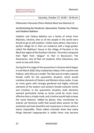#### Saturday, October 17, 10:00 – 10:30 am

Oleksandra Filonenko (Petro Mohyla Black Sea National U)

*Aestheticizing the Pandemic: Quarantine 'Fashion' by Tatiana and Vladimir Bakhtov*

Vladimir and Tatiana Bakhtov are a family of artists from Mykolaiv, Ukraine, who as all the people in the world were forced to go to self-isolation. Unlike many others, they have a perfect refuge for it: their art residence with a large garden called The Bakhtovs' House in the village of Parutino in the Black Sea region of the Southern Ukraine. The artists compared their flight from "plague" to that in Boccaccio's The Decameron. One of their art students, Alina Yakushova, also came to stay with them.

During the first stage of the quarantine in Ukraine which began in mid-March 2020, they created two videos, Prêt-a-porter and Podium, with Alina as a model. The idea was to create a special female outfit for the quarantine situation, which would combine elements of Eastern and Western dress codes. It was an ironic game with strongly gendered and highly criticized elements of the eastern and western female costume: burka and crinoline. In the quarantine situation, both elements seemed particularly handy as burka could be much more effective than a simple mask, and crinoline would help to keep the social distance. Added by gloves, they constituted an eclectic yet feminine outfit that would allow women to feel protected and look beautiful and mysterious in times when it seems impossible. These videos ironically show how easily things deemed inappropriate in stable times may become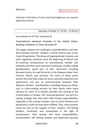relevant in the times of crisis and how fragile are our notions about the normal.

#### Saturday, October 17, 10:30 – 11:00 am

Lisa Johnson (U of Trier, Saarland U)

#### *Transnational Jamaican Grannies in the United States: Keeping a Distance in Times of Covid-19*

This paper explores the challenges of grandmothers and their Afro-Jamaican families' resident in North America due to the Covid-19 pandemic. The phase of ongoing border closures and state regulatory practices since the beginning of March had far-reaching consequences on transnational, familial care networks and their socio-economic livelihoods. Usually, mobile grandmothers spend part of their retirement travelling between family, kin and fictive kin in the Diaspora (New York, Toronto, Miami, and Jamaica). For many of these active women the visits they make are socio-culturally important care agreements and acts of communication between their diasporic families'. Grandmothers providing temporary foster care or child-minding services for their family often leave Jamaica for short (1–6 months periods) and moving to the United States or Canada. The "seasonal grannies" are part of a coping strategy that help with child-rearing responsibilities, especially in the summer months. Due to Covid-19 these care agreements could not have been fulfilled. Thus, many women could not rely on the support of their mothers, left feeling helpless, frustrated, and overworked in the light of simultaneous child rearing and work responsibilities. Grandmothers left feeling isolated and depressed because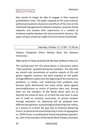#### **UDS AMERICAN STUDIES GRADUATE FORUM**

they would no longer be able to engage in their seasonal grandchildren visits. The paper responds to the socio-cultural, political and economic dynamics and effects of the crisis on the child-fostering agreements between diasporic Jamaican family networks and situates their experiences in a context of hindered mobility between the island and North America. The paper will give empirical insight into three family households.

#### Saturday, October 17, 11:00 – 11:30 am

Tetyana Ostapchuk (Petro Mohyla Black Sea National University):

#### *Vibes of Art in Times of Covid-19: the Case of Neon in the U.S.*

The starting point for this presentation is discussions about "toxic positivity" sparkled during the lockdown. The idea that we should only concentrate on positive aspects of life and ignore negative emotions has been imposed on the public through different media since the beginning of the coronavirus pandemic. In reality, such distancing from problems may become quite detrimental and many artists speak against oversimplifications as results of positive vibes only. Among them are the members of She Bends which aims are to diversify the voices of neon, to re-think the way neon is used, and to build an inclusive community of womxn benders through education. So, distancing will be analyzed from different perspectives: as psychological distancing from reality; as a chance to re-think the past due to historical distancing from it; as physical and social distancing in times of segregation vs. COVID times; as professional distancing between genders; etc. One of the founders of She Bends Meryl Pataky comments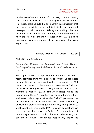**Abstracts** 

on the role of neon in times of COVID-19, 'We are creating light. So how do we want to use that light? Especially in times like these, there should be an inherent responsibility that messages, especially those in bright lights, be important messages or calls to action. Talking about things that are uncomfortable, shedding light on them, should be the role of neon art.' All in all, the story of neon in the U.S. is a good example of distancing and one of the many ways of artivists' expressions.

Saturday, October 17, 11:30 am – 12:00 pm

Atalie Gerhard (Saarland U):

#### *Dismantling Distance or Commodifying Crisis? Women Depicting Diversity and Social Issues in VR Experiences from the U.S.*

This paper analyzes the opportunities and limits that virtual reality practices of storytelling provide for creative producers documenting social issues faced by diverse women in the 21st century, as shown in the exemplary experiences Girl Icon (2019; Malala Fund), Still Here (2020; Al Jazeera Contrast), and Meeting a Monster (2018; Life After Hate). While the production of these VR narratives by non-profit organizations and news outlets began before the Covid-19 pandemic, the fact that so-called VR "experiences" are mostly consumed by privileged audiences during quarantine, begs the question to what extent even thus labelled "VR for good"-applications can resist the social distances to "othered" communities that define Anglophone First World cultures. In other words, how can the narratives I mentioned respectively depict the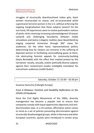#### **UDS AMERICAN STUDIES GRADUATE FORUM**

struggles of structurally disenfranchised Indian girls, black women incarcerated en masse, and ex-incarcerated white supremacist terrorist women in the U.S. without enforcing the ongoing marginalization that these subjects lament? On the one hand, VR experiences seem to realize postmodern notions of petits récits receiving increasing acknowledgment (François Lyotard) and challenging boundaries between media simulations and (extra-) diegetic realities (Jean Baudrillard) by staging corporeal immersion through 360° views for audiences. On the other hand, representational politics determining how far viewers can immerse in the suffering of depicted women or facilitating commodifying gazes at them, risk obstructing feminist appeals for community-building (Seyla Benhabib) with the effect that implied protest by the narratives' racially, sexually, and/or politically diverse subjects against their containment evades intelligible translation for mainstream audiences (Judith Butler).

#### Saturday, October 17, 01:00 – 02:30 pm

Susanne Hamscha (Fulbright Europe)

#### *From A Distance: Feminist and Disability Reflections on the COVID-19 Pandemic*

Since the Civil Rights Movements of the 1960s, diversity management has become a popular tool to ensure that companies comply with equal opportunity objectives and antidiscrimination laws. In a US context, affirmative action comes to mind as a set of policies preventing discrimination against structurally disadvantaged groups, while in Germany and other European countries, quotas were introduced in certain areas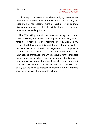to bolster equal representation. The underlying narrative has been one of progress: we like to believe that the not only the labor market has become more accessible for structurally disadvantaged groups, but that society at large has become more inclusive and equitable.

The COVID-19 pandemic has quite unsparingly uncovered social divisions, imbalances, and injustice, however, which force us to reevaluate and redefine diversity work. In my lecture, I will draw on feminist and disability theory as well as my experience in diversity management, to propose a response to this current crisis which is embedded in an intersectional framework and which accounts for the manifold needs and perspectives of structurally disadvantaged populations. I will argue that diversity work is more important than ever if we want to create a world that is fair and accessible to all, but we need to radically reimagine how we organize society and spaces of human interaction.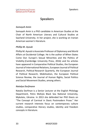## **Speakers**

#### <span id="page-34-0"></span>*Somayeh Amin*

Somayeh Amin is a PhD candidate in American Studies at the Chair of North American Literary and Cultural Studies at Saarland University. In her project, she is working on Iranian American women's literature.

#### *Phillip M. Ayoub*

Phillip M. Ayoub is Associate Professor of Diplomacy and World Affairs at Occidental College. He is the author of When States Come Out: Europe's Sexual Minorities and the Politics of Visibility (Cambridge University Press, 2016) and his articles have appeared in Comparative Political Studies, the European Journal of International Relations, European Journal of Political Research, Political Research Quarterly, the European Journal of Political Research, Mobilization, the European Political Science Review, the Journal of Human Rights, Social Politics and Social Movement Studies, among others.

#### *Natalya Dorfmann*

Natalia Dorfman is a Senior Lecturer at the English Philology Department, Petro Mohyla Black Sea National University, Mykolaiv, Ukraine. In 2013 she defended her PhD thesis on "The Concept of Carnival in Slavic Postmodern Prose." Her current research interests focus on contemporary culture studies, comparative literary studies, identity and freedom concepts in literature.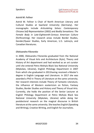#### *Astrid M. Fellner*

Astrid M. Fellner is Chair of North American Literary and Cultural Studies at Saarland University (Germany). Her monographs include *Articulating Selves: Contemporary Chicana Self-Representation* (2002) and *Bodily Sensations: The Female Body in Late-Eighteenth-Century American Culture*  (forthcoming). Her research areas include Border Studies, Gender/Queer Studies, Early American, U.S. Latino/a, and Canadian literatures.

#### *Oleksandra Filonenko*

In 2000, Oleksandra Filonenko graduated from the National Academy of Visual Arts and Architecture (Kyiv), Theory and History of Art department and had worked as an art curator until she entered Petro Mohyla Black Sea National University (Mykolaiv, Ukraine), English Philology Department in 2007 from which she graduated in 2011having received a Master's degree in English Language and Literature. In 2017 she was awarded a PhD in Theory of Literature at the same university. Her research interests include Theory of Fantastic Literature, the influence of Western esotericism on fiction, Fantasy Studies, Border Studies and History and Theory of Visual Arts. Currently, she holds the position of the Senior Lecturer at English Philology Department at Petro Mohyla Black Sea National University (Mykolaiv, Ukraine) while doing her postdoctoral research on the magical discourse in British literature at the same university. She teaches English (Speaking and Writing), Creative Writing, and English for Journalists.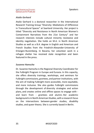#### **UDS AMERICAN STUDIES GRADUATE FORUM**

#### *Atalie Gerhard*

Atalie Gerhard is a doctoral researcher in the International Research Training Group "Diversity: Mediations of Difference in Transcultural Spaces" at Saarland University. Her project is titled "Diversity and Resistance in North American Women's Containment Narratives from the 21st Century" and her research interests include cultural minority resistance and identity negotiation. She holds an M.A. in North American Studies as well as a B.A. degree in English and American and French Studies from the Friedrich-Alexander-University of Erlangen-Nuremberg. In Bavaria, her volunteer work in a refugee shelter has received state recognition and been featured in the press.

#### *Susanne Hamscha*

Dr. Susanne Hamscha is the Regional Diversity Coordinator for the Fulbright Program in Europe and Eurasia. In this capacity, she offers diversity trainings, workshops, and seminars for Fulbright commissions, grantees, and partner institutions, with the aim of making Fulbright more accessible, more equitable, and more inclusive. She also guides Fulbright commissions through the development of diversity strategies and action plans, and creates online and offline spaces to engage with and learn from - grantees and alumni. Her academic background is in North American Studies, with a research focus on the intersections between gender studies, disability studies, and queer theory. She is currently based in Berlin.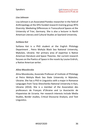#### *Lisa Johnson*

Lisa Johnson is an Associated Postdoc researcher in the field of Anthropology at the DFG-funded research-training group IRTG Diversity: Mediating Differences in Transcultural Spaces at the University of Trier, Germany. She is also a lecturer in North American Literary and Cultural Studies at Saarland University.

#### *Svitlana Kot*

Svitlana Kot is a PhD student at the English Philology Department , Petro Mohyla Black Sea National University, Mykolaiv, Ukraine. Her primary area of expertise is Native American literature and Space Theories. Her current research focuses on the Poetics of Space in the novels by Louise Erdrich, a Native American writer.

#### *Alina Mozolevska*

Alina Mozolevska, Associate Professor of Institute of Philology at Petro Mohyla Black Sea State University in Mykolaiv, Ukraine. She has a PhD in Linguistics with a major in Romance Languages from Taras Shevchenko National University in Kyiv, Ukraine (2014). She is a member of the Association des professeurs de Français d'Ukraine and La Asociación de Hispanistas de Ucrania. Her research interests include Media Studies, Border studies, Critical Discourse Analysis, and Text Linguistics.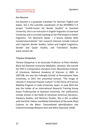#### *Eva Nossem*

Eva Nossem is a graduate translator for German, English and Italian. She is the scientific coordinator of the INTERREG V A project "UniGR-Center for Border Studies" at Saarland University. She is an instructor in English linguistics at Saarland University and is currently working on her PhD project in Italian linguistics: "Un dizionario Queer – il lessico italiano della noneteronormatività." Her research interests include Cultural and Linguistic Border Studies, Italian and English Linguistics, Gender and Queer Studies, and Translation Studies. www.nossem.de

#### *Tetyana Ostapchuk*

Tetiana Ostapchuk is an Associate Professor at Petro Mohyla Black Sea National University (Mykolaiv, Ukraine). She earned her PhD in Comparative Literature from Shevchenko Institute of Literature, National Academy of Sciences in 2005. In 2007/08, she was the Fulbright Scholar at Pennsylvania State University; in 2017 she presented lectures "The image of Ukraine in American Popular Culture" in the frame of Erasmus Mobility Program in Cadiz University, Spain. In June 2019 she was the holder of an International Research Training Group Guest Professorship at Saarland University. Her publications include articles in the fields of Ukrainian American literature, Diaspora Studies, and Memory Studies. She is the co-editor with Astrid M. Fellner and Bärbel Schlimbach of the book *(Pop) Cultures on the Move: Transnational Identifications and Cultural Exchange Between East and West* (Saarland, 2018).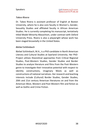#### *Takeo Rivera*

Dr. Takeo Rivera is assistant professor of English at Boston University, where he is also core faculty in Women's, Gender, Sexuality Studies and affiliated faculty in African American Studies. He is currently completing his manuscript, tentatively titled Model Minority Masochism, under contract with Oxford University Press. Rivera is also a playwright whose work has been staged bicoastally in the United States.

#### *Bärbel Schlimbach*

Bärbel Schlimbach, M.A., is a PhD candidate in North American Literary and Cultural Studies at Saarland University. Her PhD-Project utilizes theoretical approaches from Critical Regional Studies, Post-Western Studies, Gender Studies and Border Studies to analyze literature and films from the Post-Western genre to investigate their innovative potential with respect to identity constructions, imaginary Wests as well as constructions of national narratives. Her research and teaching interests include (Cultural) Border Studies, Gender Studies, 20th and 21st century American literatures on and from the American West, Western and Post-Western film and fiction as well as Gothic and Crime Fiction.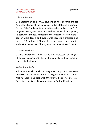#### **UDS AMERICAN STUDIES GRADUATE FORUM**

#### *Ulla Stackmann*

Ulla Stackmann is a Ph.D. student at the department for American Studies at the University of Eichstätt and a doctoral fellow of the Studienstiftung des Deutschen Volkes. Her Ph.D. projects investigates the history and aesthetics of audio poetry in postwar America, comparing the practices of commercial spoken word labels and avantgarde recording projects. She holds a B.A. in English Studies from the University of Munich and a M.A. in Aesthetic Theory from the University of Eichstätt.

#### *Oksana Starshova*

Oksana Starshova, PhD, Associate Professor at English Philology Department, Petro Mohyla Black Sea National University, Mykolaiv.

#### *Yuliya Stodolinska*

Yuliya Stodolinska − PhD in Cognitive Linguistics, Associate Professor of the Department of English Philology at Petro Mohyla Black Sea National University. Scientific interests: Cognitive Linguistics, Discourse Studies, Cultural Studies.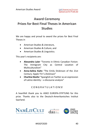## <span id="page-41-0"></span>**Award Ceremony Prizes for Best Final Theses in American Studies**

We are happy and proud to award the prizes for Best Final Theses in

- American Studies & Literature,
- American Studies & Culture, and
- American Studies & Linguistics.

This year's recipients are:

- **Alexandra Laier** "Toronto in Ethnic Canadian Fiction: The Immigrant City as Central Location of Multiculturalism"
- **Anna-Selina Kuhn** "The Emily Dickinson of the 21st Century: Apple TV+'s *Dickinson*"
- **Charline Käufer** "Spanglish on Twitter as an expression of Latino identity – a discourse analysis"

#### C O N G R A T U L A T I O N S!

A heartfelt thank you to ASKO EUROPA-STIFTUNG for this prize. Thanks also to the Deutsch-Amerikanisches Institut Saarland.





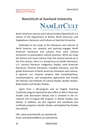### <span id="page-42-0"></span>**NamLitCult at Saarland University**



North American Literary and Cultural Studies (NamLitCult) is a section of the Department of British, North American, and Anglophone Literatures and Cultures at Saarland University.

Dedicated to the study of the literatures and cultures of North America, our research and teaching engages North American literatures and cultures from early colonial encounters to postmodern cultural practices. While we study the literary and visual cultures from the colonial period up to the 21st century, there is a strong focus on border literatures, U.S. Latino/a literature, Indigenous Studies, early American literatures, feminist literatures, Canadian literature, and the global dimensions of North American literatures and cultures. In general, our research projects take transdisciplinary, transhemispheric, and comparative approaches and include the theories and methods of Cultural Studies, Border Studies, Body Studies and Gender Studies.

Apart from a BA-program and an English Teaching Certificate program NamLitCult also offers an MA in American Studies (see description below) and is involved in the trinational and tri-lingual MA program in Border Studies (see below). In addition, we also organize and coordinate two certificate programs: Gender Studies and Applied Pop Studies (see below).

URL: www.amerikanistik.uni-saarland.de Email: amerikanistik@mx.uni-saarland.de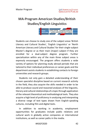## <span id="page-43-0"></span>**MA-Program American Studies/British Studies/English Linguistics**



Students can choose to study one of the subject areas 'British Literary and Cultural Studies', 'English Linguistics' or 'North American Literary and Cultural Studies' for their single-subject Master's degree or as their main (major) subject if they are enrolled for a dual-subject degree program. Further specialization within any of the main three subject areas is expressly encouraged. The program offers students a wide variety of options for planning study abroad periods that are tailored to their individual preferences or career goals and the department assists students in establishing contacts to foreign universities and research groups.

Students not only gain a detailed understanding of their chosen specialist discipline based on current research activity in the field, they also acquire the skills needed in order to be able to produce sound and reasoned analyses of the linguistic, literary and cultural relationships of a topic through application of the relevant theoretical and methodological tools. They also acquire a high level of proficiency in analyzing and interpreting a diverse range of text types drawn from English-speaking cultures, including film and digital texts.

In addition to working in academia, employment opportunities for graduates include public relations and cultural work in globally active companies or international institutions, as well as career paths in the media.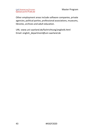## UDS AMERICAN STUDIES<br>GRADUATE FORUM

Other employment areas include software companies, private agencies, political parties, professional associations, museums, libraries, archives and adult education.

URL: www.uni-saarland.de/fachrichtung/anglistik.html Email: english\_department@uni-saarland.de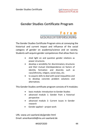### <span id="page-45-0"></span>**Gender Studies Certificate Program**

## **Forum GESCHLECHTERFORSCHLING**

The Gender Studies Certificate Program aims at conveying the historical and current impact and influence of the social category of gender on academia/science and on society. Students will acquire gender competences that allow them to:

- shed light on and question gender relations as power structures.
- develop a sensibility for discriminatory structures and their mutual interdependence on factors of identity formation and diversity such as race/ethnicity, religion, social class, etc.
- to acquire skills to deal with social inequalities and to develop concrete problem solutions and alternatives.

This Gender Studies certificate program consists of 4 modules:

- basic module: Introduction to Gender Studies
- advanced module 1: Gender from a historical perspective
- advanced module 2: Current issues in Gender research
- Gender applied project work

URL: www.uni-saarland.de/gender.html Email: amerikanistik@mx.uni-saarland.de

#ASGF2020 44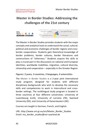## <span id="page-46-0"></span>**Master in Border Studies: Addressing the challenges of the 21st century**



The Master in Border Studies provides students with the major concepts and analytical tools to understand the social, cultural, political and economic challenges of border regions and crossborder cooperations. Students gain theoretical knowledge of border problems, border cultures, border literatures and constructions of "otherness." Students acquire the skills to play a crucial part in the discussions on national and European identities, worldwide mobilities, migration, cultural diversity, citizenship and cooperation – especially in the Greater Region.

#### *Figures: 2 years, 3 countries, 3 languages, 4 universities*

The Master in Border Studies is a 2-year joint international study program, designed for students with different disciplinary backgrounds who wish to develop the necessary skills and competencies to work in intercultural and crossborder settings. The multilingual study program is located in three countries at four different universities: University of Luxembourg (LUX), University of Lorraine (FR), Saarland University (DE), and University of Kaiserslautern (DE).

Courses are taught in German, French, and English.

URL: http://www.uni-gr.eu/en/Master\_Border\_Studies Email: ma\_border\_studies@uni-saarland.de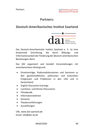### **Partners:**

### <span id="page-47-1"></span><span id="page-47-0"></span>**Deutsch-Amerikanisches Institut Saarland**



Das Deutsch-Amerikanische Institut Saarland e. V. ist eine binationale Einrichtung, die durch Bildungs- und Informationsarbeit der Förderung der deutsch-amerikanischen Beziehungen dient.

Das DAI organisiert und bündelt Veranstaltungen mit amerikanischem Hintergrund:

- Einzelvorträge, Podiumsdiskussionen und Seminare zu den gesellschaftlichen, politischen und kulturellen Ereignissen und Problemen in den USA und in Deutschland
- English-Discussion Evenings
- Luncheon- und Dinner-Discussions
- Filmabende
- Informationsfahrten
- Konzerte
- Theatervorführungen
- Ausstellungen

URL: www.dai-saarland.de Email: info@dai-sb.de

#ASGF2020 46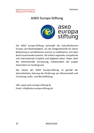#### <span id="page-48-0"></span>**UDS AMERICAN STUDIES GRADUATE FORUM**

## **ASKO Europa Stiftung**



Die ASKO Europa-Stiftung verknüpft die Zukunftsthemen Europa und Nachhaltigkeit, um die Zivilgesellschaft für deren Bedeutung zu sensibilisieren und sie zu mobilisieren, sich aktiv damit auseinanderzusetzen. Sie initiiert regionale, europäische und internationale Projekte und begleitet diese. Dabei steht die interkulturelle Vernetzung, insbesondere der jungen Generation im Vordergrund.

Der Zweck der ASKO Europa-Stiftung ist gemäß der überarbeiteten Satzung die Förderung von Wissenschaft und Forschung, Volks- und Berufsbildung.

URL: www.asko-europa-stiftung.de Email: info@asko-europa-stiftung.de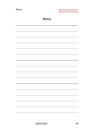<span id="page-49-0"></span>

| <b>Notes</b> |  |  |
|--------------|--|--|
|              |  |  |
|              |  |  |
|              |  |  |
|              |  |  |
|              |  |  |
|              |  |  |
|              |  |  |
|              |  |  |
|              |  |  |
|              |  |  |
|              |  |  |
|              |  |  |
|              |  |  |
|              |  |  |
|              |  |  |